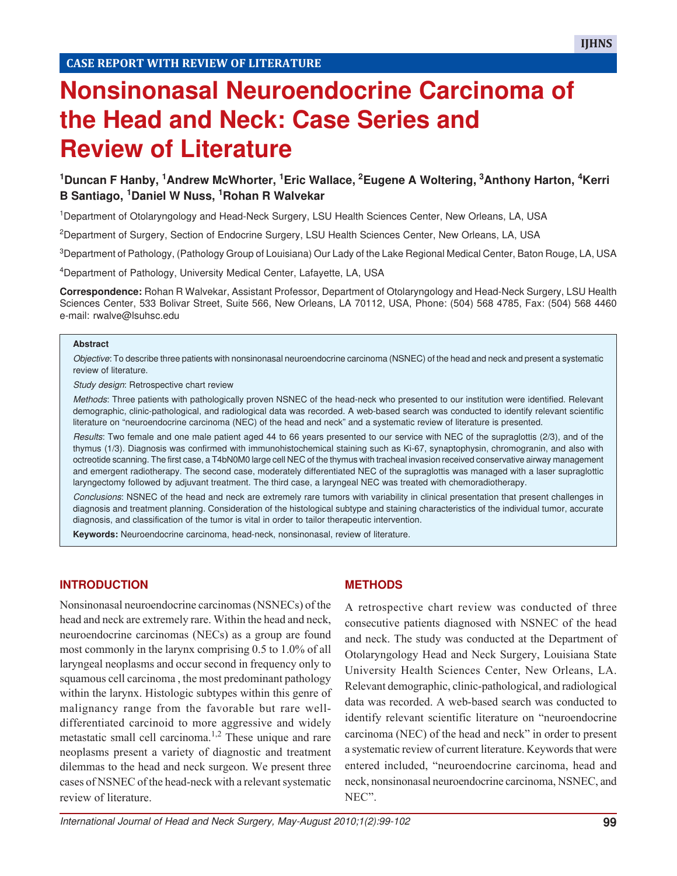# **Nonsinonasal Neuroendocrine Carcinoma of the Head and Neck: Case Series and Review of Literature**

# **<sup>1</sup>Duncan F Hanby, 1Andrew McWhorter, 1Eric Wallace, 2Eugene A Woltering, 3Anthony Harton, 4Kerri B Santiago, 1Daniel W Nuss, 1Rohan R Walvekar**

<sup>1</sup>Department of Otolaryngology and Head-Neck Surgery, LSU Health Sciences Center, New Orleans, LA, USA

<sup>2</sup>Department of Surgery, Section of Endocrine Surgery, LSU Health Sciences Center, New Orleans, LA, USA

<sup>3</sup>Department of Pathology, (Pathology Group of Louisiana) Our Lady of the Lake Regional Medical Center, Baton Rouge, LA, USA

<sup>4</sup>Department of Pathology, University Medical Center, Lafayette, LA, USA

**Correspondence:** Rohan R Walvekar, Assistant Professor, Department of Otolaryngology and Head-Neck Surgery, LSU Health Sciences Center, 533 Bolivar Street, Suite 566, New Orleans, LA 70112, USA, Phone: (504) 568 4785, Fax: (504) 568 4460 e-mail: rwalve@lsuhsc.edu

#### **Abstract**

Objective: To describe three patients with nonsinonasal neuroendocrine carcinoma (NSNEC) of the head and neck and present a systematic review of literature.

Study design: Retrospective chart review

Methods: Three patients with pathologically proven NSNEC of the head-neck who presented to our institution were identified. Relevant demographic, clinic-pathological, and radiological data was recorded. A web-based search was conducted to identify relevant scientific literature on "neuroendocrine carcinoma (NEC) of the head and neck" and a systematic review of literature is presented.

Results: Two female and one male patient aged 44 to 66 years presented to our service with NEC of the supraglottis (2/3), and of the thymus (1/3). Diagnosis was confirmed with immunohistochemical staining such as Ki-67, synaptophysin, chromogranin, and also with octreotide scanning. The first case, a T4bN0M0 large cell NEC of the thymus with tracheal invasion received conservative airway management and emergent radiotherapy. The second case, moderately differentiated NEC of the supraglottis was managed with a laser supraglottic laryngectomy followed by adjuvant treatment. The third case, a laryngeal NEC was treated with chemoradiotherapy.

Conclusions: NSNEC of the head and neck are extremely rare tumors with variability in clinical presentation that present challenges in diagnosis and treatment planning. Consideration of the histological subtype and staining characteristics of the individual tumor, accurate diagnosis, and classification of the tumor is vital in order to tailor therapeutic intervention.

**Keywords:** Neuroendocrine carcinoma, head-neck, nonsinonasal, review of literature.

## **INTRODUCTION**

Nonsinonasal neuroendocrine carcinomas (NSNECs) of the head and neck are extremely rare. Within the head and neck, neuroendocrine carcinomas (NECs) as a group are found most commonly in the larynx comprising 0.5 to 1.0% of all laryngeal neoplasms and occur second in frequency only to squamous cell carcinoma , the most predominant pathology within the larynx. Histologic subtypes within this genre of malignancy range from the favorable but rare welldifferentiated carcinoid to more aggressive and widely metastatic small cell carcinoma.<sup>1,2</sup> These unique and rare neoplasms present a variety of diagnostic and treatment dilemmas to the head and neck surgeon. We present three cases of NSNEC of the head-neck with a relevant systematic review of literature.

#### **METHODS**

A retrospective chart review was conducted of three consecutive patients diagnosed with NSNEC of the head and neck. The study was conducted at the Department of Otolaryngology Head and Neck Surgery, Louisiana State University Health Sciences Center, New Orleans, LA. Relevant demographic, clinic-pathological, and radiological data was recorded. A web-based search was conducted to identify relevant scientific literature on "neuroendocrine carcinoma (NEC) of the head and neck" in order to present a systematic review of current literature. Keywords that were entered included, "neuroendocrine carcinoma, head and neck, nonsinonasal neuroendocrine carcinoma, NSNEC, and NEC".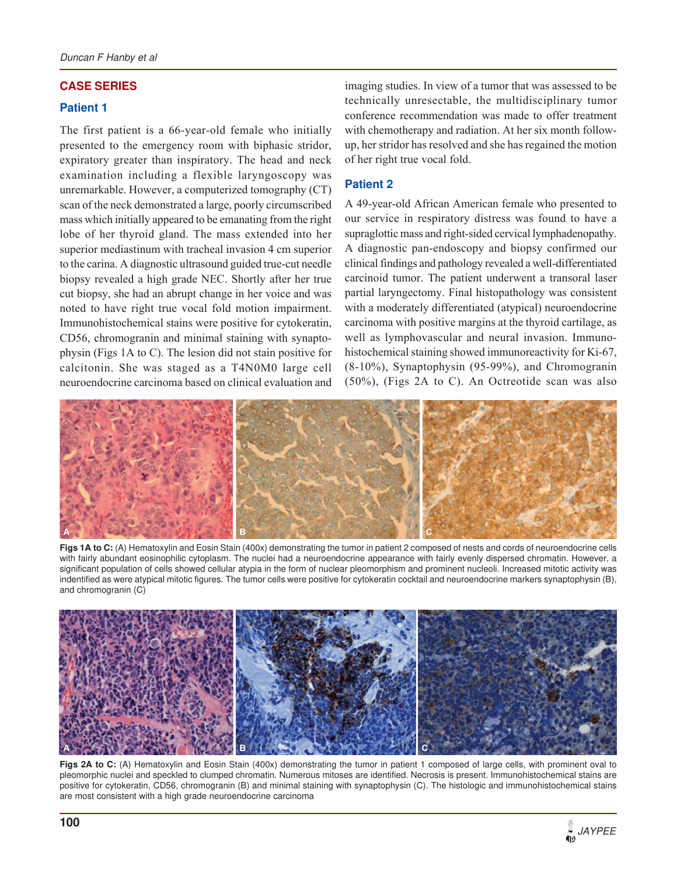## **CASE SERIES**

#### **Patient 1**

The first patient is a 66-year-old female who initially presented to the emergency room with biphasic stridor, expiratory greater than inspiratory. The head and neck examination including a flexible laryngoscopy was unremarkable. However, a computerized tomography (CT) scan of the neck demonstrated a large, poorly circumscribed mass which initially appeared to be emanating from the right lobe of her thyroid gland. The mass extended into her superior mediastinum with tracheal invasion 4 cm superior to the carina. A diagnostic ultrasound guided true-cut needle biopsy revealed a high grade NEC. Shortly after her true cut biopsy, she had an abrupt change in her voice and was noted to have right true vocal fold motion impairment. Immunohistochemical stains were positive for cytokeratin, CD56, chromogranin and minimal staining with synaptophysin (Figs 1A to C). The lesion did not stain positive for calcitonin. She was staged as a T4N0M0 large cell neuroendocrine carcinoma based on clinical evaluation and

imaging studies. In view of a tumor that was assessed to be technically unresectable, the multidisciplinary tumor conference recommendation was made to offer treatment with chemotherapy and radiation. At her six month followup, her stridor has resolved and she has regained the motion of her right true vocal fold.

#### **Patient 2**

A 49-year-old African American female who presented to our service in respiratory distress was found to have a supraglottic mass and right-sided cervical lymphadenopathy. A diagnostic pan-endoscopy and biopsy confirmed our clinical findings and pathology revealed a well-differentiated carcinoid tumor. The patient underwent a transoral laser partial laryngectomy. Final histopathology was consistent with a moderately differentiated (atypical) neuroendocrine carcinoma with positive margins at the thyroid cartilage, as well as lymphovascular and neural invasion. Immunohistochemical staining showed immunoreactivity for Ki-67, (8-10%), Synaptophysin (95-99%), and Chromogranin (50%), (Figs 2A to C). An Octreotide scan was also



**Figs 1A to C:** (A) Hematoxylin and Eosin Stain (400x) demonstrating the tumor in patient 2 composed of nests and cords of neuroendocrine cells with fairly abundant eosinophilic cytoplasm. The nuclei had a neuroendocrine appearance with fairly evenly dispersed chromatin. However, a significant population of cells showed cellular atypia in the form of nuclear pleomorphism and prominent nucleoli. Increased mitotic activity was indentified as were atypical mitotic figures. The tumor cells were positive for cytokeratin cocktail and neuroendocrine markers synaptophysin (B), and chromogranin (C)



Figs 2A to C: (A) Hematoxylin and Eosin Stain (400x) demonstrating the tumor in patient 1 composed of large cells, with prominent oval to pleomorphic nuclei and speckled to clumped chromatin. Numerous mitoses are identified. Necrosis is present. Immunohistochemical stains are positive for cytokeratin, CD56, chromogranin (B) and minimal staining with synaptophysin (C). The histologic and immunohistochemical stains are most consistent with a high grade neuroendocrine carcinoma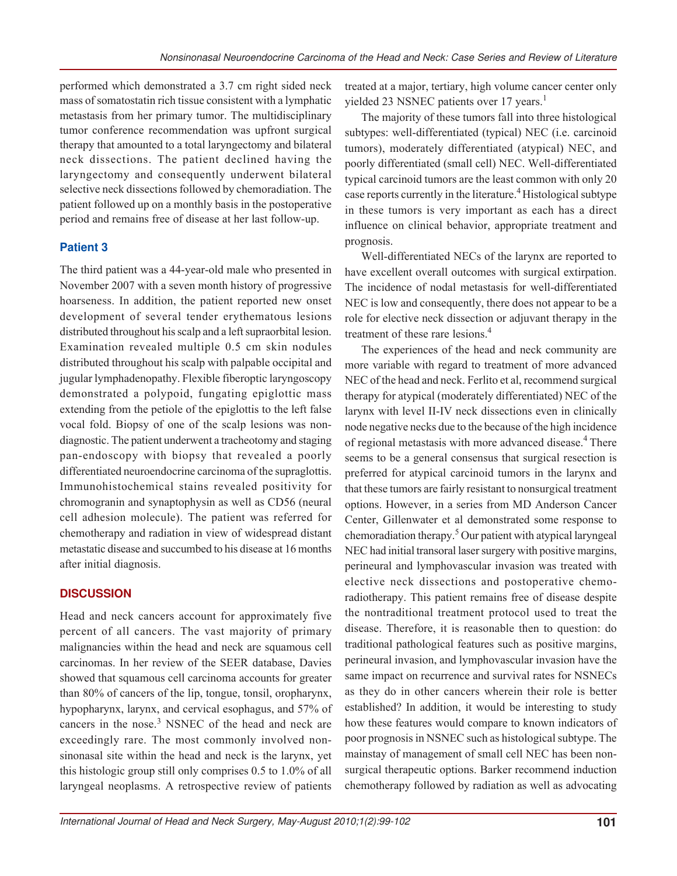performed which demonstrated a 3.7 cm right sided neck mass of somatostatin rich tissue consistent with a lymphatic metastasis from her primary tumor. The multidisciplinary tumor conference recommendation was upfront surgical therapy that amounted to a total laryngectomy and bilateral neck dissections. The patient declined having the laryngectomy and consequently underwent bilateral selective neck dissections followed by chemoradiation. The patient followed up on a monthly basis in the postoperative period and remains free of disease at her last follow-up.

# **Patient 3**

The third patient was a 44-year-old male who presented in November 2007 with a seven month history of progressive hoarseness. In addition, the patient reported new onset development of several tender erythematous lesions distributed throughout his scalp and a left supraorbital lesion. Examination revealed multiple 0.5 cm skin nodules distributed throughout his scalp with palpable occipital and jugular lymphadenopathy. Flexible fiberoptic laryngoscopy demonstrated a polypoid, fungating epiglottic mass extending from the petiole of the epiglottis to the left false vocal fold. Biopsy of one of the scalp lesions was nondiagnostic. The patient underwent a tracheotomy and staging pan-endoscopy with biopsy that revealed a poorly differentiated neuroendocrine carcinoma of the supraglottis. Immunohistochemical stains revealed positivity for chromogranin and synaptophysin as well as CD56 (neural cell adhesion molecule). The patient was referred for chemotherapy and radiation in view of widespread distant metastatic disease and succumbed to his disease at 16 months after initial diagnosis.

# **DISCUSSION**

Head and neck cancers account for approximately five percent of all cancers. The vast majority of primary malignancies within the head and neck are squamous cell carcinomas. In her review of the SEER database, Davies showed that squamous cell carcinoma accounts for greater than 80% of cancers of the lip, tongue, tonsil, oropharynx, hypopharynx, larynx, and cervical esophagus, and 57% of cancers in the nose.<sup>3</sup> NSNEC of the head and neck are exceedingly rare. The most commonly involved nonsinonasal site within the head and neck is the larynx, yet this histologic group still only comprises 0.5 to 1.0% of all laryngeal neoplasms. A retrospective review of patients

treated at a major, tertiary, high volume cancer center only yielded 23 NSNEC patients over 17 years.<sup>1</sup>

The majority of these tumors fall into three histological subtypes: well-differentiated (typical) NEC (i.e. carcinoid tumors), moderately differentiated (atypical) NEC, and poorly differentiated (small cell) NEC. Well-differentiated typical carcinoid tumors are the least common with only 20 case reports currently in the literature.<sup>4</sup> Histological subtype in these tumors is very important as each has a direct influence on clinical behavior, appropriate treatment and prognosis.

Well-differentiated NECs of the larynx are reported to have excellent overall outcomes with surgical extirpation. The incidence of nodal metastasis for well-differentiated NEC is low and consequently, there does not appear to be a role for elective neck dissection or adjuvant therapy in the treatment of these rare lesions.<sup>4</sup>

The experiences of the head and neck community are more variable with regard to treatment of more advanced NEC of the head and neck. Ferlito et al, recommend surgical therapy for atypical (moderately differentiated) NEC of the larynx with level II-IV neck dissections even in clinically node negative necks due to the because of the high incidence of regional metastasis with more advanced disease.<sup>4</sup> There seems to be a general consensus that surgical resection is preferred for atypical carcinoid tumors in the larynx and that these tumors are fairly resistant to nonsurgical treatment options. However, in a series from MD Anderson Cancer Center, Gillenwater et al demonstrated some response to chemoradiation therapy.<sup>5</sup> Our patient with atypical laryngeal NEC had initial transoral laser surgery with positive margins, perineural and lymphovascular invasion was treated with elective neck dissections and postoperative chemoradiotherapy. This patient remains free of disease despite the nontraditional treatment protocol used to treat the disease. Therefore, it is reasonable then to question: do traditional pathological features such as positive margins, perineural invasion, and lymphovascular invasion have the same impact on recurrence and survival rates for NSNECs as they do in other cancers wherein their role is better established? In addition, it would be interesting to study how these features would compare to known indicators of poor prognosis in NSNEC such as histological subtype. The mainstay of management of small cell NEC has been nonsurgical therapeutic options. Barker recommend induction chemotherapy followed by radiation as well as advocating